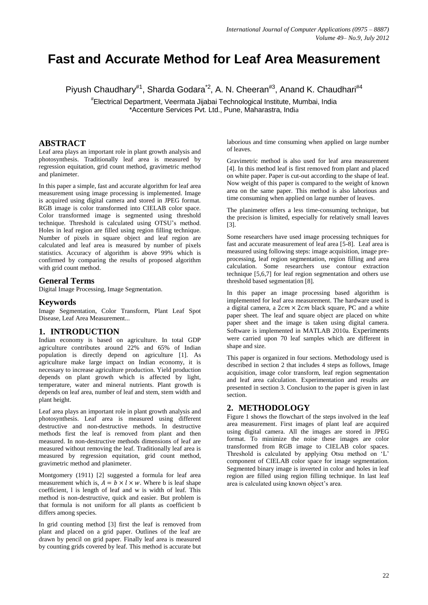# **Fast and Accurate Method for Leaf Area Measurement**

Piyush Chaudhary<sup>#1</sup>, Sharda Godara<sup>\*2</sup>, A. N. Cheeran<sup>#3</sup>, Anand K. Chaudhari<sup>#4</sup>

# Electrical Department, Veermata Jijabai Technological Institute, Mumbai, India \*Accenture Services Pvt. Ltd., Pune, Maharastra, India

# **ABSTRACT**

Leaf area plays an important role in plant growth analysis and photosynthesis. Traditionally leaf area is measured by regression equitation, grid count method, gravimetric method and planimeter.

In this paper a simple, fast and accurate algorithm for leaf area measurement using image processing is implemented. Image is acquired using digital camera and stored in JPEG format. RGB image is color transformed into CIELAB color space. Color transformed image is segmented using threshold technique. Threshold is calculated using OTSU"s method. Holes in leaf region are filled using region filling technique. Number of pixels in square object and leaf region are calculated and leaf area is measured by number of pixels statistics. Accuracy of algorithm is above 99% which is confirmed by comparing the results of proposed algorithm with grid count method.

## **General Terms**

Digital Image Processing, Image Segmentation.

#### **Keywords**

Image Segmentation, Color Transform, Plant Leaf Spot Disease, Leaf Area Measurement...

# **1. INTRODUCTION**

Indian economy is based on agriculture. In total GDP agriculture contributes around 22% and 65% of Indian population is directly depend on agriculture [1]. As agriculture make large impact on Indian economy, it is necessary to increase agriculture production. Yield production depends on plant growth which is affected by light, temperature, water and mineral nutrients. Plant growth is depends on leaf area, number of leaf and stem, stem width and plant height.

Leaf area plays an important role in plant growth analysis and photosynthesis. Leaf area is measured using different destructive and non-destructive methods. In destructive methods first the leaf is removed from plant and then measured. In non-destructive methods dimensions of leaf are measured without removing the leaf. Traditionally leaf area is measured by regression equitation, grid count method, gravimetric method and planimeter.

Montgomery (1911) [2] suggested a formula for leaf area measurement which is,  $A = b \times l \times w$ . Where b is leaf shape coefficient, l is length of leaf and w is width of leaf. This method is non-destructive, quick and easier. But problem is that formula is not uniform for all plants as coefficient b differs among species.

In grid counting method [3] first the leaf is removed from plant and placed on a grid paper. Outlines of the leaf are drawn by pencil on grid paper. Finally leaf area is measured by counting grids covered by leaf. This method is accurate but laborious and time consuming when applied on large number of leaves.

Gravimetric method is also used for leaf area measurement [4]. In this method leaf is first removed from plant and placed on white paper. Paper is cut-out according to the shape of leaf. Now weight of this paper is compared to the weight of known area on the same paper. This method is also laborious and time consuming when applied on large number of leaves.

The planimeter offers a less time-consuming technique, but the precision is limited, especially for relatively small leaves [3].

Some researchers have used image processing techniques for fast and accurate measurement of leaf area [5-8]. Leaf area is measured using following steps: image acquisition, image preprocessing, leaf region segmentation, region filling and area calculation. Some researchers use contour extraction technique [5,6,7] for leaf region segmentation and others use threshold based segmentation [8].

In this paper an image processing based algorithm is implemented for leaf area measurement. The hardware used is a digital camera, a  $2cm \times 2cm$  black square, PC and a white paper sheet. The leaf and square object are placed on white paper sheet and the image is taken using digital camera. Software is implemented in MATLAB 2010a. Experiments were carried upon 70 leaf samples which are different in shape and size.

This paper is organized in four sections. Methodology used is described in section 2 that includes 4 steps as follows, Image acquisition, image color transform, leaf region segmentation and leaf area calculation. Experimentation and results are presented in section 3. Conclusion to the paper is given in last section.

# **2. METHODOLOGY**

Figure 1 shows the flowchart of the steps involved in the leaf area measurement. First images of plant leaf are acquired using digital camera. All the images are stored in JPEG format. To minimize the noise these images are color transformed from RGB image to CIELAB color spaces. Threshold is calculated by applying Otsu method on 'L' component of CIELAB color space for image segmentation. Segmented binary image is inverted in color and holes in leaf region are filled using region filling technique. In last leaf area is calculated using known object's area.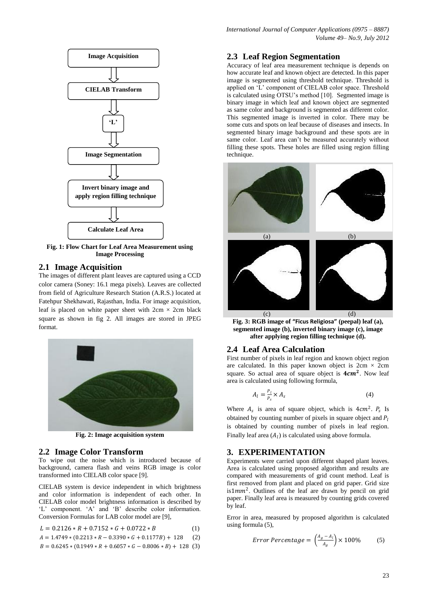

**Fig. 1: Flow Chart for Leaf Area Measurement using Image Processing**

#### **2.1 Image Acquisition**

The images of different plant leaves are captured using a CCD color camera (Soney: 16.1 mega pixels). Leaves are collected from field of Agriculture Research Station (A.R.S.) located at Fatehpur Shekhawati, Rajasthan, India. For image acquisition, leaf is placed on white paper sheet with  $2 \text{cm} \times 2 \text{cm}$  black square as shown in fig 2. All images are stored in JPEG format.



**Fig. 2: Image acquisition system**

#### **2.2 Image Color Transform**

To wipe out the noise which is introduced because of background, camera flash and veins RGB image is color transformed into CIELAB color space [9].

CIELAB system is device independent in which brightness and color information is independent of each other. In CIELAB color model brightness information is described by 'L' component. 'A' and 'B' describe color information. Conversion Formulas for LAB color model are [9],

$$
L = 0.2126 \times R + 0.7152 \times G + 0.0722 \times B \tag{1}
$$

$$
A = 1.4749 * (0.2213 * R - 0.3390 * G + 0.1177B) + 128
$$
 (2)

$$
B = 0.6245 * (0.1949 * R + 0.6057 * G - 0.8006 * B) + 128
$$
 (3)

#### **2.3 Leaf Region Segmentation**

Accuracy of leaf area measurement technique is depends on how accurate leaf and known object are detected. In this paper image is segmented using threshold technique. Threshold is applied on "L" component of CIELAB color space. Threshold is calculated using OTSU"s method [10]. Segmented image is binary image in which leaf and known object are segmented as same color and background is segmented as different color. This segmented image is inverted in color. There may be some cuts and spots on leaf because of diseases and insects. In segmented binary image background and these spots are in same color. Leaf area can"t be measured accurately without filling these spots. These holes are filled using region filling technique.



**Fig. 3: RGB image of "Ficus Religiosa" (peepal) leaf (a), segmented image (b), inverted binary image (c), image after applying region filling technique (d).**

#### **2.4 Leaf Area Calculation**

First number of pixels in leaf region and known object region are calculated. In this paper known object is  $2cm \times 2cm$ square. So actual area of square object is  $4cm<sup>2</sup>$ . Now leaf area is calculated using following formula,

$$
A_l = \frac{P_l}{P_s} \times A_s \tag{4}
$$

Where  $A_s$  is area of square object, which is  $4cm^2$ .  $P_s$  Is obtained by counting number of pixels in square object and  $P_l$ is obtained by counting number of pixels in leaf region. Finally leaf area  $(A_l)$  is calculated using above formula.

### **3. EXPERIMENTATION**

Experiments were carried upon different shaped plant leaves. Area is calculated using proposed algorithm and results are compared with measurements of grid count method. Leaf is first removed from plant and placed on grid paper. Grid size is1 $mm<sup>2</sup>$ . Outlines of the leaf are drawn by pencil on grid paper. Finally leaf area is measured by counting grids covered by leaf.

Error in area, measured by proposed algorithm is calculated using formula (5),

$$
Error Percentage = \left(\frac{A_g - A_l}{A_g}\right) \times 100\% \tag{5}
$$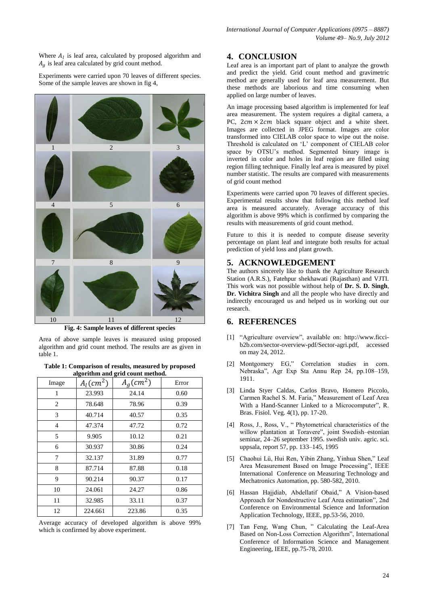Where  $A_l$  is leaf area, calculated by proposed algorithm and  $A_a$  is leaf area calculated by grid count method.

Experiments were carried upon 70 leaves of different species. Some of the sample leaves are shown in fig 4,



**Fig. 4: Sample leaves of different species**

Area of above sample leaves is measured using proposed algorithm and grid count method. The results are as given in table 1.

**Table 1: Comparison of results, measured by proposed algorithm and grid count method.**

| Image          | $A_l$ (cm <sup>2</sup> ) | $A_g$ (cm <sup>2</sup> ) | Error |
|----------------|--------------------------|--------------------------|-------|
| 1              | 23.993                   | 24.14                    | 0.60  |
| $\overline{c}$ | 78.648                   | 78.96                    | 0.39  |
| 3              | 40.714                   | 40.57                    | 0.35  |
| $\overline{4}$ | 47.374                   | 47.72                    | 0.72  |
| 5              | 9.905                    | 10.12                    | 0.21  |
| 6              | 30.937                   | 30.86                    | 0.24  |
| 7              | 32.137                   | 31.89                    | 0.77  |
| 8              | 87.714                   | 87.88                    | 0.18  |
| 9              | 90.214                   | 90.37                    | 0.17  |
| 10             | 24.061                   | 24.27                    | 0.86  |
| 11             | 32.985                   | 33.11                    | 0.37  |
| 12             | 224.661                  | 223.86                   | 0.35  |

Average accuracy of developed algorithm is above 99% which is confirmed by above experiment.

# **4. CONCLUSION**

Leaf area is an important part of plant to analyze the growth and predict the yield. Grid count method and gravimetric method are generally used for leaf area measurement. But these methods are laborious and time consuming when applied on large number of leaves.

An image processing based algorithm is implemented for leaf area measurement. The system requires a digital camera, a PC,  $2cm \times 2cm$  black square object and a white sheet. Images are collected in JPEG format. Images are color transformed into CIELAB color space to wipe out the noise. Threshold is calculated on "L" component of CIELAB color space by OTSU"s method. Segmented binary image is inverted in color and holes in leaf region are filled using region filling technique. Finally leaf area is measured by pixel number statistic. The results are compared with measurements of grid count method

Experiments were carried upon 70 leaves of different species. Experimental results show that following this method leaf area is measured accurately. Average accuracy of this algorithm is above 99% which is confirmed by comparing the results with measurements of grid count method.

Future to this it is needed to compute disease severity percentage on plant leaf and integrate both results for actual prediction of yield loss and plant growth.

#### **5. ACKNOWLEDGEMENT**

The authors sincerely like to thank the Agriculture Research Station (A.R.S.), Fatehpur shekhawati (Rajasthan) and VJTI. This work was not possible without help of **Dr. S. D. Singh**, **Dr. Vichitra Singh** and all the people who have directly and indirectly encouraged us and helped us in working out our research.

## **6. REFERENCES**

- [1] "Agriculture overview", available on: http://www.ficcib2b.com/sector-overview-pdf/Sector-agri.pdf, accessed on may 24, 2012.
- [2] Montgomery EG," Correlation studies in corn. Nebraska", Agr Exp Sta Annu Rep 24, pp.108–159, 1911.
- [3] Linda Styer Caldas, Carlos Bravo, Homero Piccolo, Carmen Rachel S. M. Faria," Measurement of Leaf Area With a Hand-Scanner Linked to a Microcomputer", R. Bras. Fisiol. Veg. 4(1), pp. 17-20.
- [4] Ross, J., Ross, V., " Phytometrical characteristics of the willow plantation at Toravere", joint Swedish–estonian seminar, 24–26 september 1995. swedish univ. agric. sci. uppsala, report 57, pp. 133–145, 1995
- [5] Chaohui Lü, Hui Ren, Yibin Zhang, Yinhua Shen," Leaf Area Measurement Based on Image Processing", IEEE International Conference on Measuring Technology and Mechatronics Automation, pp. 580-582, 2010.
- [6] Hassan Hajjdiab, Abdellatif Obaid," A Vision-based Approach for Nondestructive Leaf Area estimation", 2nd Conference on Environmental Science and Information Application Technology, IEEE, pp.53-56, 2010.
- [7] Tan Feng, Wang Chun, " Calculating the Leaf-Area Based on Non-Loss Correction Algorithm", International Conference of Information Science and Management Engineering, IEEE, pp.75-78, 2010.